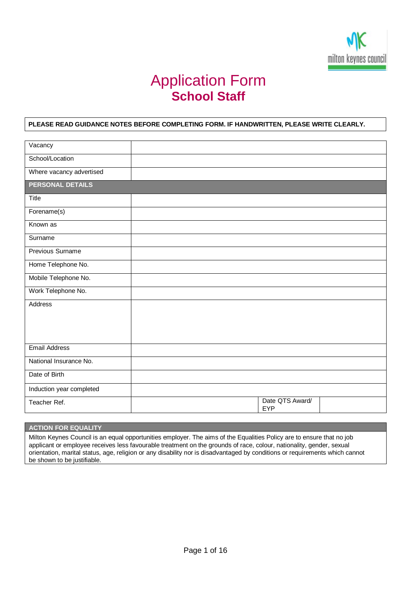

# Application Form **School Staff**

## **PLEASE READ GUIDANCE NOTES BEFORE COMPLETING FORM. IF HANDWRITTEN, PLEASE WRITE CLEARLY.**

| Vacancy                  |                               |  |
|--------------------------|-------------------------------|--|
| School/Location          |                               |  |
| Where vacancy advertised |                               |  |
| PERSONAL DETAILS         |                               |  |
| Title                    |                               |  |
| Forename(s)              |                               |  |
| Known as                 |                               |  |
| Surname                  |                               |  |
| Previous Surname         |                               |  |
| Home Telephone No.       |                               |  |
| Mobile Telephone No.     |                               |  |
| Work Telephone No.       |                               |  |
| Address                  |                               |  |
|                          |                               |  |
|                          |                               |  |
| <b>Email Address</b>     |                               |  |
| National Insurance No.   |                               |  |
| Date of Birth            |                               |  |
| Induction year completed |                               |  |
| Teacher Ref.             | Date QTS Award/<br><b>EYP</b> |  |

# **ACTION FOR EQUALITY**

Milton Keynes Council is an equal opportunities employer. The aims of the Equalities Policy are to ensure that no job applicant or employee receives less favourable treatment on the grounds of race, colour, nationality, gender, sexual orientation, marital status, age, religion or any disability nor is disadvantaged by conditions or requirements which cannot be shown to be justifiable.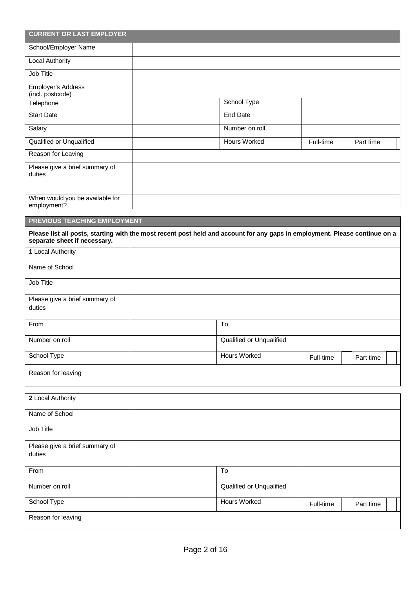| <b>CURRENT OR LAST EMPLOYER</b>                |                                                                                                                             |           |           |
|------------------------------------------------|-----------------------------------------------------------------------------------------------------------------------------|-----------|-----------|
| School/Employer Name                           |                                                                                                                             |           |           |
| Local Authority                                |                                                                                                                             |           |           |
| Job Title                                      |                                                                                                                             |           |           |
| Employer's Address<br>(incl. postcode)         |                                                                                                                             |           |           |
| Telephone                                      | School Type                                                                                                                 |           |           |
| <b>Start Date</b>                              | <b>End Date</b>                                                                                                             |           |           |
| Salary                                         | Number on roll                                                                                                              |           |           |
| Qualified or Unqualified                       | <b>Hours Worked</b>                                                                                                         | Full-time | Part time |
| Reason for Leaving                             |                                                                                                                             |           |           |
| Please give a brief summary of<br>duties       |                                                                                                                             |           |           |
| When would you be available for<br>employment? |                                                                                                                             |           |           |
| PREVIOUS TEACHING EMPLOYMENT                   |                                                                                                                             |           |           |
| separate sheet if necessary.                   | Please list all posts, starting with the most recent post held and account for any gaps in employment. Please continue on a |           |           |
| 1 Local Authority                              |                                                                                                                             |           |           |
| Name of School                                 |                                                                                                                             |           |           |
| Job Title                                      |                                                                                                                             |           |           |
| Please give a brief summary of<br>duties       |                                                                                                                             |           |           |
| From                                           | To                                                                                                                          |           |           |
| Number on roll                                 | Qualified or Unqualified                                                                                                    |           |           |
| School Type                                    | Hours Worked                                                                                                                | Full-time | Part time |
| Reason for leaving                             |                                                                                                                             |           |           |
| 2 Local Authority                              |                                                                                                                             |           |           |
| Name of School                                 |                                                                                                                             |           |           |
| Job Title                                      |                                                                                                                             |           |           |
| Please give a brief summary of<br>duties       |                                                                                                                             |           |           |
| From                                           | To                                                                                                                          |           |           |
| Number on roll                                 | Qualified or Unqualified                                                                                                    |           |           |
| School Type                                    | <b>Hours Worked</b>                                                                                                         | Full-time | Part time |
| Reason for leaving                             |                                                                                                                             |           |           |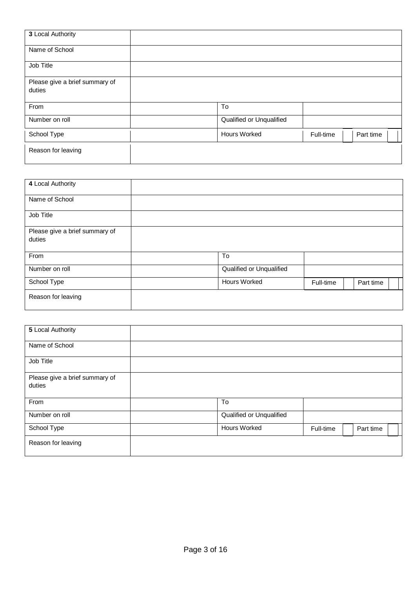| 3 Local Authority                        |                          |           |           |
|------------------------------------------|--------------------------|-----------|-----------|
| Name of School                           |                          |           |           |
| Job Title                                |                          |           |           |
| Please give a brief summary of<br>duties |                          |           |           |
| From                                     | To                       |           |           |
| Number on roll                           | Qualified or Unqualified |           |           |
| School Type                              | <b>Hours Worked</b>      | Full-time | Part time |
| Reason for leaving                       |                          |           |           |

| 4 Local Authority                        |                          |           |           |
|------------------------------------------|--------------------------|-----------|-----------|
| Name of School                           |                          |           |           |
| Job Title                                |                          |           |           |
| Please give a brief summary of<br>duties |                          |           |           |
| From                                     | To                       |           |           |
| Number on roll                           | Qualified or Unqualified |           |           |
| School Type                              | <b>Hours Worked</b>      | Full-time | Part time |
| Reason for leaving                       |                          |           |           |
|                                          |                          |           |           |

| 5 Local Authority                        |                          |           |           |
|------------------------------------------|--------------------------|-----------|-----------|
| Name of School                           |                          |           |           |
| Job Title                                |                          |           |           |
| Please give a brief summary of<br>duties |                          |           |           |
| From                                     | To                       |           |           |
| Number on roll                           | Qualified or Unqualified |           |           |
| School Type                              | Hours Worked             | Full-time | Part time |
| Reason for leaving                       |                          |           |           |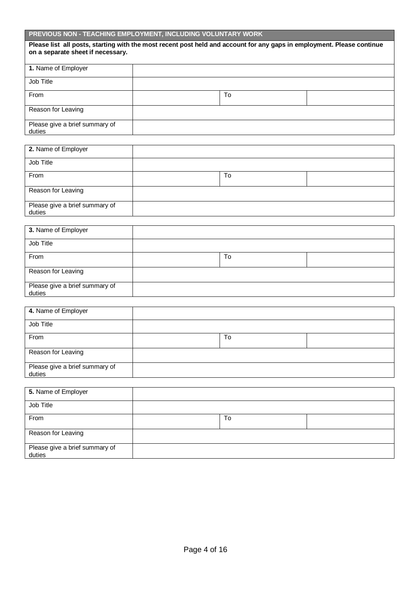# **PREVIOUS NON - TEACHING EMPLOYMENT, INCLUDING VOLUNTARY WORK**

| on a separate sheet if necessary.        | Please list all posts, starting with the most recent post held and account for any gaps in employment. Please continue |  |
|------------------------------------------|------------------------------------------------------------------------------------------------------------------------|--|
| 1. Name of Employer                      |                                                                                                                        |  |
| Job Title                                |                                                                                                                        |  |
| From                                     | To                                                                                                                     |  |
| Reason for Leaving                       |                                                                                                                        |  |
| Please give a brief summary of<br>duties |                                                                                                                        |  |

| 2. Name of Employer                      |    |  |
|------------------------------------------|----|--|
| Job Title                                |    |  |
| From                                     | To |  |
| Reason for Leaving                       |    |  |
| Please give a brief summary of<br>duties |    |  |

| 3. Name of Employer                      |    |  |
|------------------------------------------|----|--|
| Job Title                                |    |  |
| From                                     | To |  |
| Reason for Leaving                       |    |  |
| Please give a brief summary of<br>duties |    |  |

| 4. Name of Employer                      |    |  |
|------------------------------------------|----|--|
| Job Title                                |    |  |
| From                                     | To |  |
| Reason for Leaving                       |    |  |
| Please give a brief summary of<br>duties |    |  |

| 5. Name of Employer                      |    |  |
|------------------------------------------|----|--|
| Job Title                                |    |  |
| From                                     | To |  |
| Reason for Leaving                       |    |  |
| Please give a brief summary of<br>duties |    |  |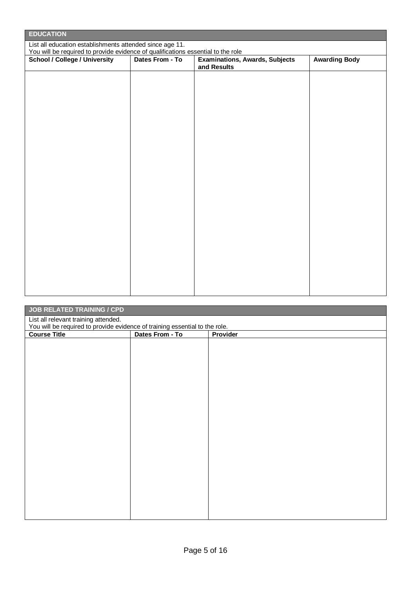| <b>EDUCATION</b>                                                                                                                             |                 |                                                      |                      |  |
|----------------------------------------------------------------------------------------------------------------------------------------------|-----------------|------------------------------------------------------|----------------------|--|
| List all education establishments attended since age 11.<br>You will be required to provide evidence of qualifications essential to the role |                 |                                                      |                      |  |
| <b>School / College / University</b>                                                                                                         | Dates From - To | <b>Examinations, Awards, Subjects</b><br>and Results | <b>Awarding Body</b> |  |
|                                                                                                                                              |                 |                                                      |                      |  |
|                                                                                                                                              |                 |                                                      |                      |  |
|                                                                                                                                              |                 |                                                      |                      |  |
|                                                                                                                                              |                 |                                                      |                      |  |
|                                                                                                                                              |                 |                                                      |                      |  |
|                                                                                                                                              |                 |                                                      |                      |  |
|                                                                                                                                              |                 |                                                      |                      |  |
|                                                                                                                                              |                 |                                                      |                      |  |
|                                                                                                                                              |                 |                                                      |                      |  |
|                                                                                                                                              |                 |                                                      |                      |  |
|                                                                                                                                              |                 |                                                      |                      |  |
|                                                                                                                                              |                 |                                                      |                      |  |
|                                                                                                                                              |                 |                                                      |                      |  |
|                                                                                                                                              |                 |                                                      |                      |  |
|                                                                                                                                              |                 |                                                      |                      |  |
|                                                                                                                                              |                 |                                                      |                      |  |

| <b>JOB RELATED TRAINING / CPD</b>                                                                                   |                 |          |  |
|---------------------------------------------------------------------------------------------------------------------|-----------------|----------|--|
| List all relevant training attended.<br>You will be required to provide evidence of training essential to the role. |                 |          |  |
| <b>Course Title</b>                                                                                                 | Dates From - To | Provider |  |
|                                                                                                                     |                 |          |  |
|                                                                                                                     |                 |          |  |
|                                                                                                                     |                 |          |  |
|                                                                                                                     |                 |          |  |
|                                                                                                                     |                 |          |  |
|                                                                                                                     |                 |          |  |
|                                                                                                                     |                 |          |  |
|                                                                                                                     |                 |          |  |
|                                                                                                                     |                 |          |  |
|                                                                                                                     |                 |          |  |
|                                                                                                                     |                 |          |  |
|                                                                                                                     |                 |          |  |
|                                                                                                                     |                 |          |  |
|                                                                                                                     |                 |          |  |
|                                                                                                                     |                 |          |  |
|                                                                                                                     |                 |          |  |
|                                                                                                                     |                 |          |  |
|                                                                                                                     |                 |          |  |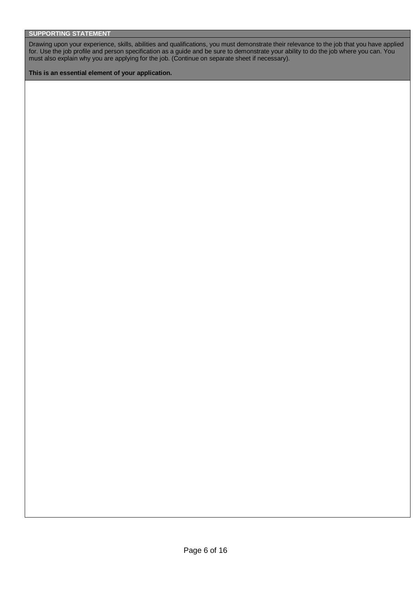Drawing upon your experience, skills, abilities and qualifications, you must demonstrate their relevance to the job that you have applied for. Use the job profile and person specification as a guide and be sure to demonstrate your ability to do the job where you can. You must also explain why you are applying for the job. (Continue on separate sheet if necessary).

**This is an essential element of your application.**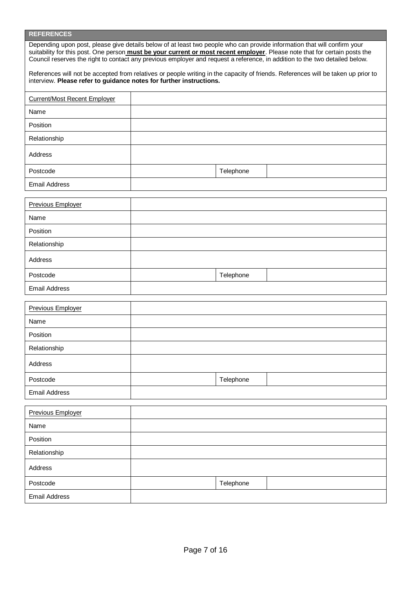## **REFERENCES**

| Depending upon post, please give details below of at least two people who can provide information that will confirm your<br>suitability for this post. One person <b>must be your current or most recent employer</b> . Please note that for certain posts the<br>Council reserves the right to contact any previous employer and request a reference, in addition to the two detailed below. |
|-----------------------------------------------------------------------------------------------------------------------------------------------------------------------------------------------------------------------------------------------------------------------------------------------------------------------------------------------------------------------------------------------|
| References will not be accepted from relatives or people writing in the capacity of friends. References will be taken up prior to<br>interview. Please refer to quidance notes for further instructions.                                                                                                                                                                                      |

| <b>Current/Most Recent Employer</b> |           |  |
|-------------------------------------|-----------|--|
| Name                                |           |  |
| Position                            |           |  |
| Relationship                        |           |  |
| Address                             |           |  |
| Postcode                            | Telephone |  |
| <b>Email Address</b>                |           |  |
| <b>Previous Employer</b>            |           |  |
| Name                                |           |  |
| Position                            |           |  |
| Relationship                        |           |  |
| Address                             |           |  |
| Postcode                            | Telephone |  |
| <b>Email Address</b>                |           |  |
|                                     |           |  |
| <b>Previous Employer</b>            |           |  |
| Name                                |           |  |
| Position                            |           |  |
| Relationship                        |           |  |
| Address                             |           |  |
| Postcode                            | Telephone |  |
| <b>Email Address</b>                |           |  |
| <b>Previous Employer</b>            |           |  |
| Name                                |           |  |
| Position                            |           |  |
| Relationship                        |           |  |
|                                     |           |  |
| Address                             |           |  |
| Postcode                            | Telephone |  |
| <b>Email Address</b>                |           |  |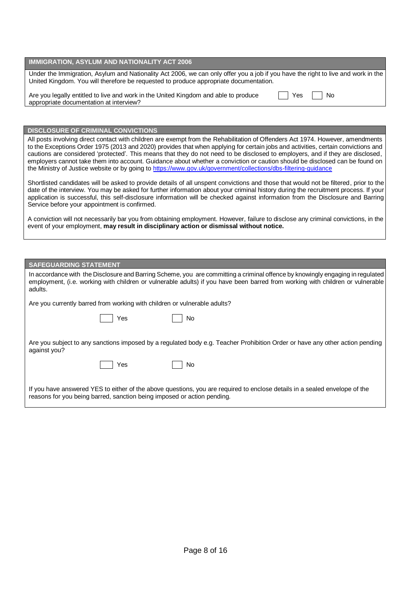## **IMMIGRATION, ASYLUM AND NATIONALITY ACT 2006**

Under the Immigration, Asylum and Nationality Act 2006, we can only offer you a job if you have the right to live and work in the United Kingdom. You will therefore be requested to produce appropriate documentation.

| Are you legally entitled to live and work in the United Kingdom and able to produce | $\Box$ Yes $\Box$ No |  |
|-------------------------------------------------------------------------------------|----------------------|--|
| appropriate documentation at interview?                                             |                      |  |

#### **DISCLOSURE OF CRIMINAL CONVICTIONS**

All posts involving direct contact with children are exempt from the Rehabilitation of Offenders Act 1974. However, amendments to the Exceptions Order 1975 (2013 and 2020) provides that when applying for certain jobs and activities, certain convictions and cautions are considered 'protected'. This means that they do not need to be disclosed to employers, and if they are disclosed, employers cannot take them into account. Guidance about whether a conviction or caution should be disclosed can be found on the Ministry of Justice website or by going to https://www.gov.uk/government/collections/dbs-filtering-quidance

Shortlisted candidates will be asked to provide details of all unspent convictions and those that would not be filtered, prior to the date of the interview. You may be asked for further information about your criminal history during the recruitment process. If your application is successful, this self-disclosure information will be checked against information from the Disclosure and Barring Service before your appointment is confirmed.

A conviction will not necessarily bar you from obtaining employment. However, failure to disclose any criminal convictions, in the event of your employment, **may result in disciplinary action or dismissal without notice.**

#### **SAFEGUARDING STATEMENT**

| In accordance with the Disclosure and Barring Scheme, you are committing a criminal offence by knowingly engaging in regulated<br>employment, (i.e. working with children or vulnerable adults) if you have been barred from working with children or vulnerable<br>adults. |
|-----------------------------------------------------------------------------------------------------------------------------------------------------------------------------------------------------------------------------------------------------------------------------|
| Are you currently barred from working with children or vulnerable adults?                                                                                                                                                                                                   |
| Yes<br>No                                                                                                                                                                                                                                                                   |
| Are you subject to any sanctions imposed by a regulated body e.g. Teacher Prohibition Order or have any other action pending<br>against you?                                                                                                                                |
| Yes<br>No                                                                                                                                                                                                                                                                   |
| If you have answered YES to either of the above questions, you are required to enclose details in a sealed envelope of the<br>reasons for you being barred, sanction being imposed or action pending.                                                                       |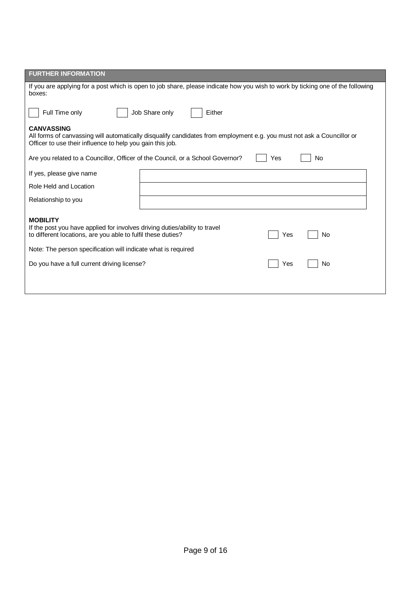| <b>FURTHER INFORMATION</b>                                                                                                                                                                                                                  |                  |  |  |  |  |  |
|---------------------------------------------------------------------------------------------------------------------------------------------------------------------------------------------------------------------------------------------|------------------|--|--|--|--|--|
| If you are applying for a post which is open to job share, please indicate how you wish to work by ticking one of the following<br>boxes:                                                                                                   |                  |  |  |  |  |  |
| Full Time only<br>Job Share only<br>Either                                                                                                                                                                                                  |                  |  |  |  |  |  |
| <b>CANVASSING</b><br>All forms of canvassing will automatically disqualify candidates from employment e.g. you must not ask a Councillor or<br>Officer to use their influence to help you gain this job.                                    |                  |  |  |  |  |  |
| Are you related to a Councillor, Officer of the Council, or a School Governor?                                                                                                                                                              | <b>No</b><br>Yes |  |  |  |  |  |
| If yes, please give name                                                                                                                                                                                                                    |                  |  |  |  |  |  |
| Role Held and Location                                                                                                                                                                                                                      |                  |  |  |  |  |  |
| Relationship to you                                                                                                                                                                                                                         |                  |  |  |  |  |  |
| <b>MOBILITY</b><br>If the post you have applied for involves driving duties/ability to travel<br>to different locations, are you able to fulfil these duties?<br>No<br>Yes<br>Note: The person specification will indicate what is required |                  |  |  |  |  |  |
| Do you have a full current driving license?<br>No<br>Yes                                                                                                                                                                                    |                  |  |  |  |  |  |
|                                                                                                                                                                                                                                             |                  |  |  |  |  |  |
|                                                                                                                                                                                                                                             |                  |  |  |  |  |  |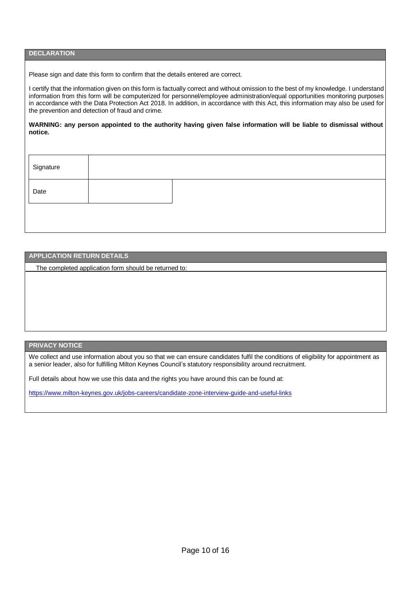## **DECLARATION**

Please sign and date this form to confirm that the details entered are correct.

I certify that the information given on this form is factually correct and without omission to the best of my knowledge. I understand information from this form will be computerized for personnel/employee administration/equal opportunities monitoring purposes in accordance with the Data Protection Act 2018. In addition, in accordance with this Act, this information may also be used for the prevention and detection of fraud and crime.

WARNING: any person appointed to the authority having given false information will be liable to dismissal without **notice.**

| Date |  |  |  |
|------|--|--|--|
|      |  |  |  |

#### **APPLICATION RETURN DETAILS**

The completed application form should be returned to:

## **PRIVACY NOTICE**

We collect and use information about you so that we can ensure candidates fulfil the conditions of eligibility for appointment as a senior leader, also for fulfilling Milton Keynes Council's statutory responsibility around recruitment.

Full details about how we use this data and the rights you have around this can be found at:

<https://www.milton-keynes.gov.uk/jobs-careers/candidate-zone-interview-guide-and-useful-links>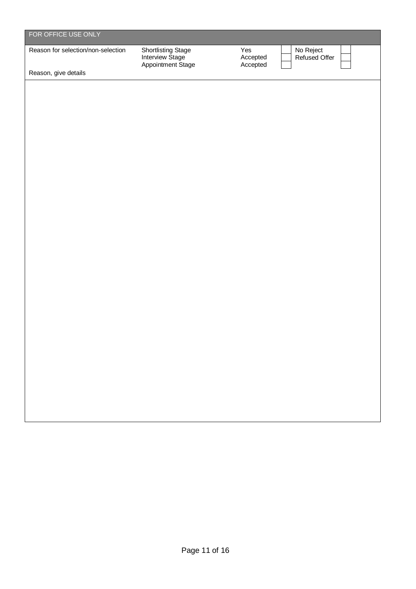| FOR OFFICE USE ONLY                |                                                            |                                                           |
|------------------------------------|------------------------------------------------------------|-----------------------------------------------------------|
| Reason for selection/non-selection | Shortlisting Stage<br>Interview Stage<br>Appointment Stage | Yes<br>No Reject<br>Refused Offer<br>Accepted<br>Accepted |
| Reason, give details               |                                                            |                                                           |
|                                    |                                                            |                                                           |
|                                    |                                                            |                                                           |
|                                    |                                                            |                                                           |
|                                    |                                                            |                                                           |
|                                    |                                                            |                                                           |
|                                    |                                                            |                                                           |
|                                    |                                                            |                                                           |
|                                    |                                                            |                                                           |
|                                    |                                                            |                                                           |
|                                    |                                                            |                                                           |
|                                    |                                                            |                                                           |
|                                    |                                                            |                                                           |
|                                    |                                                            |                                                           |
|                                    |                                                            |                                                           |
|                                    |                                                            |                                                           |
|                                    |                                                            |                                                           |
|                                    |                                                            |                                                           |
|                                    |                                                            |                                                           |
|                                    |                                                            |                                                           |
|                                    |                                                            |                                                           |
|                                    |                                                            |                                                           |
|                                    |                                                            |                                                           |
|                                    |                                                            |                                                           |
|                                    |                                                            |                                                           |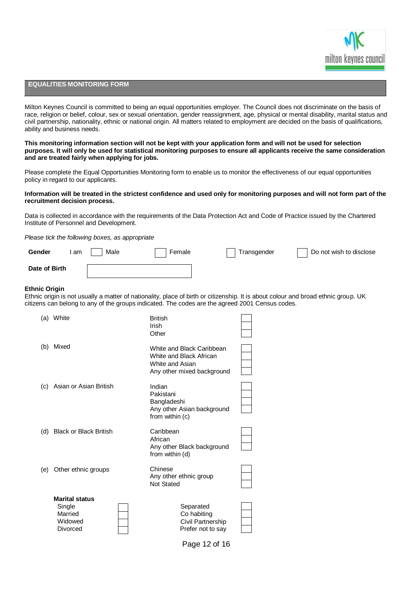

## **EQUALITIES MONITORING FORM**

Milton Keynes Council is committed to being an equal opportunities employer. The Council does not discriminate on the basis of race, religion or belief, colour, sex or sexual orientation, gender reassignment, age, physical or mental disability, marital status and civil partnership, nationality, ethnic or national origin. All matters related to employment are decided on the basis of qualifications, ability and business needs.

This monitoring information section will not be kept with your application form and will not be used for selection purposes. It will only be used for statistical monitoring purposes to ensure all applicants receive the same consideration **and are treated fairly when applying for jobs.**

Please complete the Equal Opportunities Monitoring form to enable us to monitor the effectiveness of our equal opportunities policy in regard to our applicants.

#### Information will be treated in the strictest confidence and used only for monitoring purposes and will not form part of the **recruitment decision process.**

Data is collected in accordance with the requirements of the Data Protection Act and Code of Practice issued by the Chartered Institute of Personnel and Development.

*Please tick the following boxes, as appropriate*

| Gender        | `am | Male | Female | Transgender | Do not wish to disclose |
|---------------|-----|------|--------|-------------|-------------------------|
| Date of Birth |     |      |        |             |                         |

#### **Ethnic Origin**

Ethnic origin is not usually a matter of nationality, place of birth or citizenship. It is about colour and broad ethnic group. UK citizens can belong to any of the groups indicated. The codes are the agreed 2001 Census codes.

| (a) | White                                                             | <b>British</b><br>Irish<br>Other                                                                      |  |
|-----|-------------------------------------------------------------------|-------------------------------------------------------------------------------------------------------|--|
| (b) | Mixed                                                             | White and Black Caribbean<br>White and Black African<br>White and Asian<br>Any other mixed background |  |
|     | (c) Asian or Asian British                                        | Indian<br>Pakistani<br>Bangladeshi<br>Any other Asian background<br>from within (c)                   |  |
| (d) | <b>Black or Black British</b>                                     | Caribbean<br>African<br>Any other Black background<br>from within (d)                                 |  |
| (e) | Other ethnic groups                                               | Chinese<br>Any other ethnic group<br><b>Not Stated</b>                                                |  |
|     | <b>Marital status</b><br>Single<br>Married<br>Widowed<br>Divorced | Separated<br>Co habiting<br>Civil Partnership<br>Prefer not to say                                    |  |

Page 12 of 16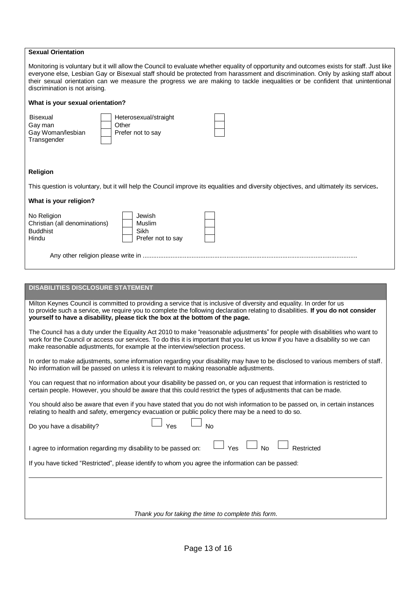| <b>Sexual Orientation</b>                                                                                                                                                                                                                                                                                                                                                                                                                       |
|-------------------------------------------------------------------------------------------------------------------------------------------------------------------------------------------------------------------------------------------------------------------------------------------------------------------------------------------------------------------------------------------------------------------------------------------------|
| Monitoring is voluntary but it will allow the Council to evaluate whether equality of opportunity and outcomes exists for staff. Just like<br>everyone else, Lesbian Gay or Bisexual staff should be protected from harassment and discrimination. Only by asking staff about<br>their sexual orientation can we measure the progress we are making to tackle inequalities or be confident that unintentional<br>discrimination is not arising. |
| What is your sexual orientation?                                                                                                                                                                                                                                                                                                                                                                                                                |
| Heterosexual/straight<br>Bisexual<br>Gay man<br>Other<br>Gay Woman/lesbian<br>Prefer not to say<br>Transgender                                                                                                                                                                                                                                                                                                                                  |
| <b>Religion</b>                                                                                                                                                                                                                                                                                                                                                                                                                                 |
| This question is voluntary, but it will help the Council improve its equalities and diversity objectives, and ultimately its services.                                                                                                                                                                                                                                                                                                          |
| What is your religion?                                                                                                                                                                                                                                                                                                                                                                                                                          |
| Jewish<br>No Religion<br>Christian (all denominations)<br>Muslim<br><b>Buddhist</b><br>Sikh<br>Hindu<br>Prefer not to say                                                                                                                                                                                                                                                                                                                       |
|                                                                                                                                                                                                                                                                                                                                                                                                                                                 |
|                                                                                                                                                                                                                                                                                                                                                                                                                                                 |
| <b>DISABILITIES DISCLOSURE STATEMENT</b>                                                                                                                                                                                                                                                                                                                                                                                                        |
| Milton Keynes Council is committed to providing a service that is inclusive of diversity and equality. In order for us<br>to provide such a service, we require you to complete the following declaration relating to disabilities. If you do not consider<br>yourself to have a disability, please tick the box at the bottom of the page.                                                                                                     |
| The Council has a duty under the Equality Act 2010 to make "reasonable adjustments" for people with disabilities who want to<br>work for the Council or access our services. To do this it is important that you let us know if you have a disability so we can<br>make reasonable adjustments, for example at the interview/selection process.                                                                                                 |
| In order to make adjustments, some information regarding your disability may have to be disclosed to various members of staff.<br>No information will be passed on unless it is relevant to making reasonable adjustments.                                                                                                                                                                                                                      |
| You can request that no information about your disability be passed on, or you can request that information is restricted to<br>certain people. However, you should be aware that this could restrict the types of adjustments that can be made.                                                                                                                                                                                                |
| You should also be aware that even if you have stated that you do not wish information to be passed on, in certain instances<br>relating to health and safety, emergency evacuation or public policy there may be a need to do so.                                                                                                                                                                                                              |
| Yes<br><b>No</b><br>Do you have a disability?                                                                                                                                                                                                                                                                                                                                                                                                   |
| No<br>Yes<br>Restricted<br>I agree to information regarding my disability to be passed on:                                                                                                                                                                                                                                                                                                                                                      |
| If you have ticked "Restricted", please identify to whom you agree the information can be passed:                                                                                                                                                                                                                                                                                                                                               |
|                                                                                                                                                                                                                                                                                                                                                                                                                                                 |
| Thank you for taking the time to complete this form.                                                                                                                                                                                                                                                                                                                                                                                            |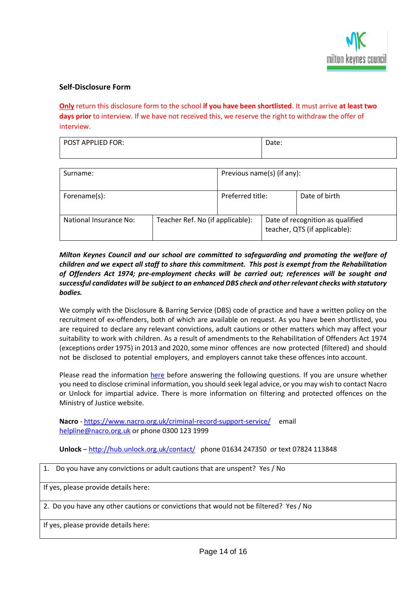

# **Self-Disclosure Form**

**Only** return this disclosure form to the school **if you have been shortlisted**. It must arrive **at least two days prior** to interview. If we have not received this, we reserve the right to withdraw the offer of interview.

| <b>POST APPLIED FOR:</b> | $D = 0$<br>udle. |
|--------------------------|------------------|
|                          |                  |

| Surname:               |                                  | Previous name(s) (if any): |                                                                   |               |
|------------------------|----------------------------------|----------------------------|-------------------------------------------------------------------|---------------|
| Forename(s):           |                                  | Preferred title:           |                                                                   | Date of birth |
| National Insurance No: | Teacher Ref. No (if applicable): |                            | Date of recognition as qualified<br>teacher, QTS (if applicable): |               |

# *Milton Keynes Council and our school are committed to safeguarding and promoting the welfare of children and we expect all staff to share this commitment. This post is exempt from the Rehabilitation of Offenders Act 1974; pre-employment checks will be carried out; references will be sought and successful candidates will be subject to an enhanced DBS check and otherrelevant checks with statutory bodies.*

We comply with the Disclosure & Barring Service (DBS) code of practice and have a written policy on the recruitment of ex-offenders, both of which are available on request. As you have been shortlisted, you are required to declare any relevant convictions, adult cautions or other matters which may affect your suitability to work with children. As a result of amendments to the Rehabilitation of Offenders Act 1974 (exceptions order 1975) in 2013 and 2020, some minor offences are now protected (filtered) and should not be disclosed to potential employers, and employers cannot take these offences into account.

Please read the information [here](https://www.gov.uk/government/collections/dbs-filtering-guidance) before answering the following questions. If you are unsure whether you need to disclose criminal information, you should seek legal advice, or you may wish to contact Nacro or Unlock for impartial advice. There is more information on filtering and protected offences on the Ministry of Justice website.

**Nacro** - [https://www.nacro.org.uk/criminal-record-support-service/ e](https://www.nacro.org.uk/criminal-record-support-service/)mail [helpline@nacro.org.uk](mailto:helpline@nacro.org.uk) or phone 0300 123 1999

**Unlock** – <http://hub.unlock.org.uk/contact/> phone 01634 247350 or text 07824 113848

| 1. Do you have any convictions or adult cautions that are unspent? Yes / No           |
|---------------------------------------------------------------------------------------|
| If yes, please provide details here:                                                  |
| 2. Do you have any other cautions or convictions that would not be filtered? Yes / No |
| If yes, please provide details here:                                                  |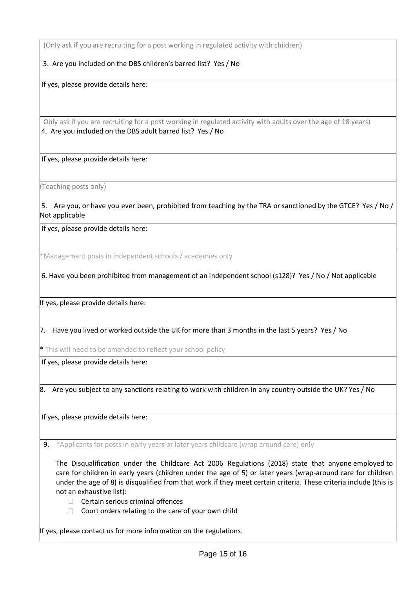(Only ask if you are recruiting for a post working in regulated activity with children)

3. Are you included on the DBS children's barred list? Yes / No

If yes, please provide details here:

Only ask if you are recruiting for a post working in regulated activity with adults over the age of 18 years) 4. Are you included on the DBS adult barred list? Yes / No

If yes, please provide details here:

(Teaching posts only)

5. Are you, or have you ever been, prohibited from teaching by the TRA or sanctioned by the GTCE? Yes / No / Not applicable

If yes, please provide details here:

\*Management posts in independent schools / academies only

6. Have you been prohibited from management of an independent school (s128)? Yes / No / Not applicable

If yes, please provide details here:

7. Have you lived or worked outside the UK for more than 3 months in the last 5 years? Yes / No

\* This will need to be amended to reflect your school policy

If yes, please provide details here:

8. Are you subject to any sanctions relating to work with children in any country outside the UK? Yes / No

If yes, please provide details here:

9. \*Applicants for posts in early years or later years childcare (wrap around care) only

The Disqualification under the Childcare Act 2006 Regulations (2018) state that anyone employed to care for children in early years (children under the age of 5) or later years (wrap-around care for children under the age of 8) is disqualified from that work if they meet certain criteria. These criteria include (this is not an exhaustive list):

- $\Box$  Certain serious criminal offences
- $\Box$  Court orders relating to the care of your own child

If yes, please contact us for more information on the regulations.